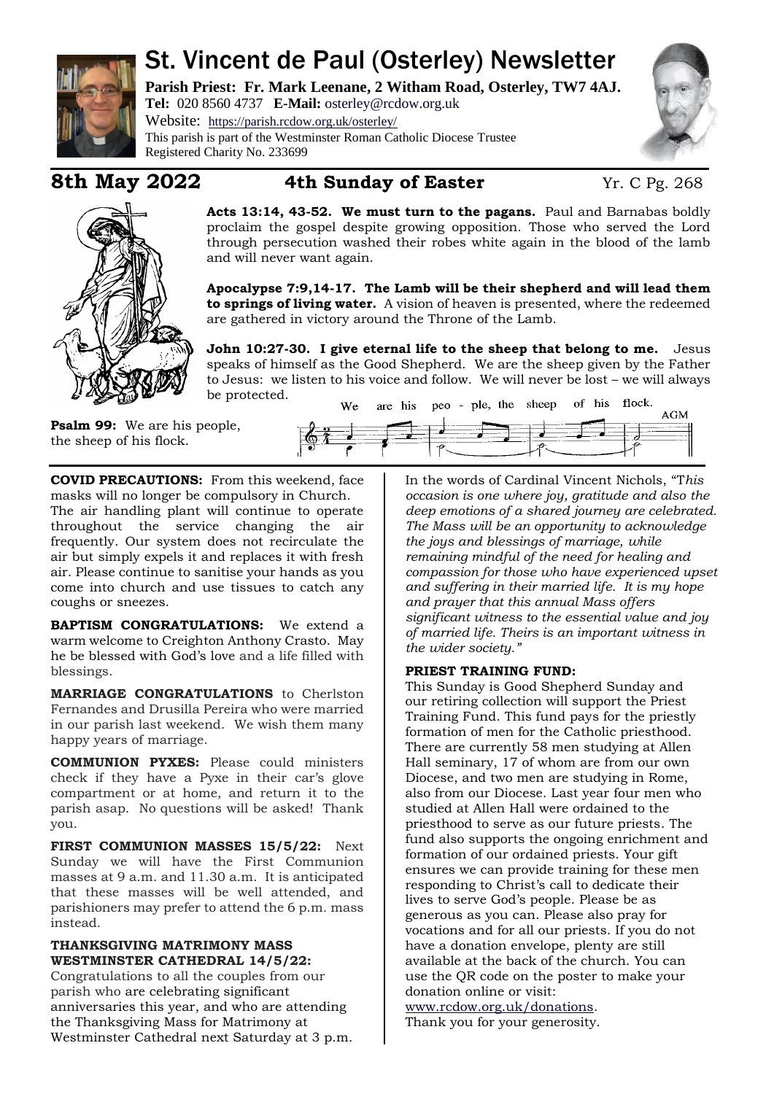

# St. Vincent de Paul (Osterley) Newsletter

**Parish Priest: Fr. Mark Leenane, 2 Witham Road, Osterley, TW7 4AJ. Tel:** 020 8560 4737 **E-Mail:** [osterley@rcdow.org.uk](mailto:osterley@rcdow.org.uk)

Website: <https://parish.rcdow.org.uk/osterley/> This parish is part of the Westminster Roman Catholic Diocese Trustee Registered Charity No. 233699





## **8th May 2022 4th Sunday of Easter** Yr. C Pg. 268

**Acts 13:14, 43-52. We must turn to the pagans.** Paul and Barnabas boldly proclaim the gospel despite growing opposition. Those who served the Lord through persecution washed their robes white again in the blood of the lamb and will never want again.

**Apocalypse 7:9,14-17. The Lamb will be their shepherd and will lead them to springs of living water.** A vision of heaven is presented, where the redeemed are gathered in victory around the Throne of the Lamb.

**John 10:27-30. I give eternal life to the sheep that belong to me.** Jesus speaks of himself as the Good Shepherd. We are the sheep given by the Father to Jesus: we listen to his voice and follow. We will never be lost – we will always be protected.

**Psalm 99:** We are his people, the sheep of his flock.

| We- |  |  |  | are his peo - ple, the sheep of his flock. |  |  |
|-----|--|--|--|--------------------------------------------|--|--|
|     |  |  |  |                                            |  |  |
|     |  |  |  |                                            |  |  |
|     |  |  |  |                                            |  |  |
|     |  |  |  |                                            |  |  |
|     |  |  |  |                                            |  |  |

**COVID PRECAUTIONS:** From this weekend, face masks will no longer be compulsory in Church. The air handling plant will continue to operate throughout the service changing the air frequently. Our system does not recirculate the air but simply expels it and replaces it with fresh air. Please continue to sanitise your hands as you come into church and use tissues to catch any coughs or sneezes.

**BAPTISM CONGRATULATIONS:** We extend a warm welcome to Creighton Anthony Crasto. May he be blessed with God's love and a life filled with blessings.

**MARRIAGE CONGRATULATIONS** to Cherlston Fernandes and Drusilla Pereira who were married in our parish last weekend. We wish them many happy years of marriage.

**COMMUNION PYXES:** Please could ministers check if they have a Pyxe in their car's glove compartment or at home, and return it to the parish asap. No questions will be asked! Thank you.

**FIRST COMMUNION MASSES 15/5/22:** Next Sunday we will have the First Communion masses at 9 a.m. and 11.30 a.m. It is anticipated that these masses will be well attended, and parishioners may prefer to attend the 6 p.m. mass instead.

#### **THANKSGIVING MATRIMONY MASS WESTMINSTER CATHEDRAL 14/5/22:**

Congratulations to all the couples from our parish who are celebrating significant anniversaries this year, and who are attending the Thanksgiving Mass for Matrimony at Westminster Cathedral next Saturday at 3 p.m. In the words of Cardinal Vincent Nichols, "T*his occasion is one where joy, gratitude and also the deep emotions of a shared journey are celebrated. The Mass will be an opportunity to acknowledge the joys and blessings of marriage, while remaining mindful of the need for healing and compassion for those who have experienced upset and suffering in their married life. It is my hope and prayer that this annual Mass offers significant witness to the essential value and joy of married life. Theirs is an important witness in the wider society."*

### **PRIEST TRAINING FUND:**

This Sunday is Good Shepherd Sunday and our retiring collection will support the Priest Training Fund. This fund pays for the priestly formation of men for the Catholic priesthood. There are currently 58 men studying at Allen Hall seminary, 17 of whom are from our own Diocese, and two men are studying in Rome, also from our Diocese. Last year four men who studied at Allen Hall were ordained to the priesthood to serve as our future priests. The fund also supports the ongoing enrichment and formation of our ordained priests. Your gift ensures we can provide training for these men responding to Christ's call to dedicate their lives to serve God's people. Please be as generous as you can. Please also pray for vocations and for all our priests. If you do not have a donation envelope, plenty are still available at the back of the church. You can use the QR code on the poster to make your donation online or visit:

[www.rcdow.org.uk/donations.](http://www.rcdow.org.uk/donations) Thank you for your generosity.